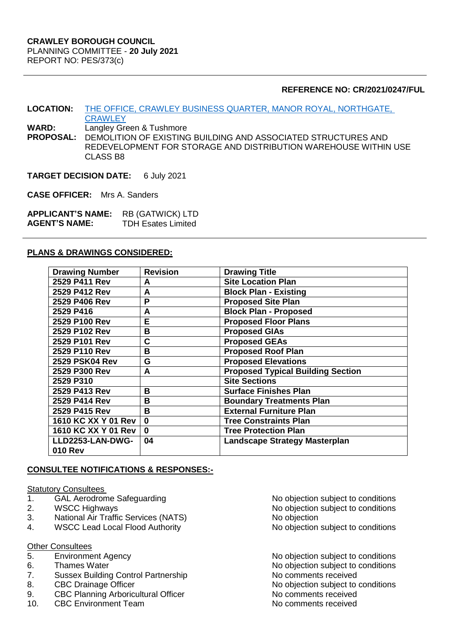## **REFERENCE NO: CR/2021/0247/FUL**

- **LOCATION:** [THE OFFICE, CRAWLEY BUSINESS QUARTER, MANOR ROYAL, NORTHGATE,](https://planningregister.crawley.gov.uk/Planning/Display/CR/2021/0247/FUL)  **[CRAWLEY](https://planningregister.crawley.gov.uk/Planning/Display/CR/2021/0247/FUL)**
- **WARD:** Langley Green & Tushmore

**PROPOSAL:** DEMOLITION OF EXISTING BUILDING AND ASSOCIATED STRUCTURES AND REDEVELOPMENT FOR STORAGE AND DISTRIBUTION WAREHOUSE WITHIN USE CLASS B8

#### **TARGET DECISION DATE:** 6 July 2021

**CASE OFFICER:** Mrs A. Sanders

| <b>APPLICANT'S NAME:</b> | RB (GATWICK) LTD          |
|--------------------------|---------------------------|
| <b>AGENT'S NAME:</b>     | <b>TDH Esates Limited</b> |

### **PLANS & DRAWINGS CONSIDERED:**

| <b>Drawing Number</b> | <b>Revision</b> | <b>Drawing Title</b>                     |
|-----------------------|-----------------|------------------------------------------|
| 2529 P411 Rev         | A               | <b>Site Location Plan</b>                |
| 2529 P412 Rev         | A               | <b>Block Plan - Existing</b>             |
| 2529 P406 Rev         | P               | <b>Proposed Site Plan</b>                |
| 2529 P416             | A               | <b>Block Plan - Proposed</b>             |
| 2529 P100 Rev         | E               | <b>Proposed Floor Plans</b>              |
| 2529 P102 Rev         | B               | <b>Proposed GIAs</b>                     |
| 2529 P101 Rev         | C               | <b>Proposed GEAs</b>                     |
| 2529 P110 Rev         | B               | <b>Proposed Roof Plan</b>                |
| <b>2529 PSK04 Rev</b> | G               | <b>Proposed Elevations</b>               |
| 2529 P300 Rev         | A               | <b>Proposed Typical Building Section</b> |
| 2529 P310             |                 | <b>Site Sections</b>                     |
| 2529 P413 Rev         | B               | <b>Surface Finishes Plan</b>             |
| 2529 P414 Rev         | B               | <b>Boundary Treatments Plan</b>          |
| 2529 P415 Rev         | B               | <b>External Furniture Plan</b>           |
| 1610 KC XX Y 01 Rev   | $\bf{0}$        | <b>Tree Constraints Plan</b>             |
| 1610 KC XX Y 01 Rev   | $\bf{0}$        | <b>Tree Protection Plan</b>              |
| LLD2253-LAN-DWG-      | 04              | <b>Landscape Strategy Masterplan</b>     |
| <b>010 Rev</b>        |                 |                                          |

### **CONSULTEE NOTIFICATIONS & RESPONSES:-**

#### **Statutory Consultees**

- 
- 
- 3. National Air Traffic Services (NATS) <br>
4. WSCC Lead Local Flood Authority **No objection**
- 4. WSCC Lead Local Flood Authority No objection subject to conditions

#### **Other Consultees**

- 
- 
- 7. Sussex Building Control Partnership No comments received
- 
- 9. CBC Planning Arboricultural Officer Note and No comments received
- 10. CBC Environment Team Note and No comments received
- 1. GAL Aerodrome Safeguarding and the No objection subject to conditions<br>2. WSCC Highways **No objection** subject to conditions 2. WSCC Highways 2. WSCC Highways
	-

5. Environment Agency **Environment Agency No objection subject to conditions** 6. Thames Water **No. 2008** Shapes Water Thames Water No. 2012 12:30 No. 2012 No. 2012 12:30 No. 2013 8. CBC Drainage Officer  $\blacksquare$  No objection subject to conditions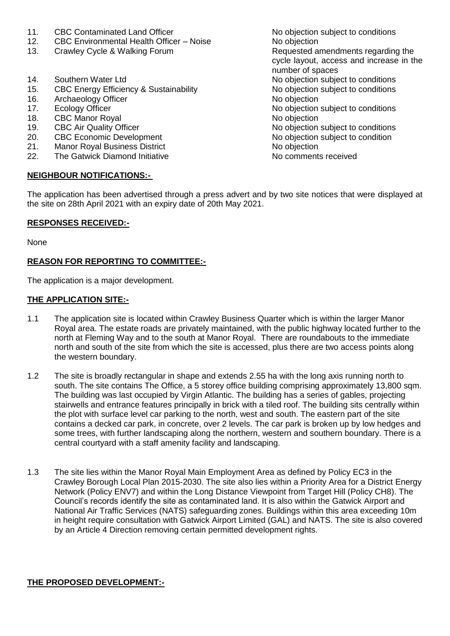- 
- CBC Environmental Health Officer Noise
- 13. Crawley Cycle & Walking Forum The Requested amendments regarding the
- 
- 15. CBC Energy Efficiency & Sustainability No objection subject to conditions
- 16. Archaeology Officer No objection No objection
- 
- 
- 18. CBC Manor Royal **No objection**<br>
19. CBC Air Quality Officer **No objection**<br>
19. CBC Air Quality Officer
- 
- 21. Manor Royal Business District No objection No objection
- 22. The Gatwick Diamond Initiative Note 20, No comments received

### **NEIGHBOUR NOTIFICATIONS:-**

11. CBC Contaminated Land Officer<br>12. CBC Environmental Health Officer – Noise<br>No objection cycle layout, access and increase in the number of spaces 14. Southern Water Ltd **No objection** subject to conditions 17. Ecology Officer **No objection** subject to conditions CBC Air Quality Officer<br>
CBC Economic Development<br>
No objection subject to condition<br>
No objection subject to condition 20. CBC Economic Development No objection subject to condition

The application has been advertised through a press advert and by two site notices that were displayed at the site on 28th April 2021 with an expiry date of 20th May 2021.

### **RESPONSES RECEIVED:-**

None

# **REASON FOR REPORTING TO COMMITTEE:-**

The application is a major development.

### **THE APPLICATION SITE:-**

- 1.1 The application site is located within Crawley Business Quarter which is within the larger Manor Royal area. The estate roads are privately maintained, with the public highway located further to the north at Fleming Way and to the south at Manor Royal. There are roundabouts to the immediate north and south of the site from which the site is accessed, plus there are two access points along the western boundary.
- 1.2 The site is broadly rectangular in shape and extends 2.55 ha with the long axis running north to south. The site contains The Office, a 5 storey office building comprising approximately 13,800 sqm. The building was last occupied by Virgin Atlantic. The building has a series of gables, projecting stairwells and entrance features principally in brick with a tiled roof. The building sits centrally within the plot with surface level car parking to the north, west and south. The eastern part of the site contains a decked car park, in concrete, over 2 levels. The car park is broken up by low hedges and some trees, with further landscaping along the northern, western and southern boundary. There is a central courtyard with a staff amenity facility and landscaping.
- 1.3 The site lies within the Manor Royal Main Employment Area as defined by Policy EC3 in the Crawley Borough Local Plan 2015-2030. The site also lies within a Priority Area for a District Energy Network (Policy ENV7) and within the Long Distance Viewpoint from Target Hill (Policy CH8). The Council's records identify the site as contaminated land. It is also within the Gatwick Airport and National Air Traffic Services (NATS) safeguarding zones. Buildings within this area exceeding 10m in height require consultation with Gatwick Airport Limited (GAL) and NATS. The site is also covered by an Article 4 Direction removing certain permitted development rights.

### **THE PROPOSED DEVELOPMENT:-**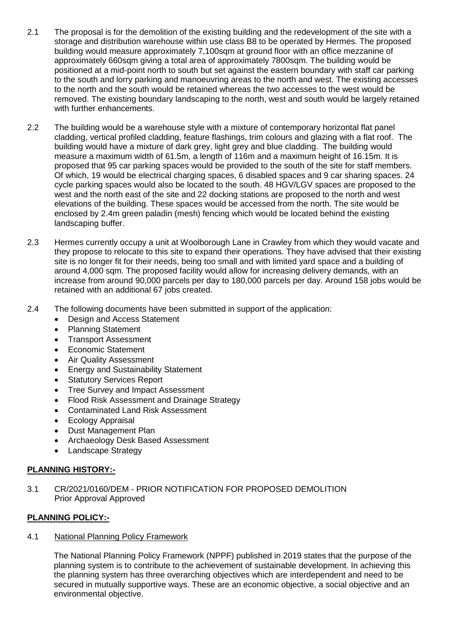- 2.1 The proposal is for the demolition of the existing building and the redevelopment of the site with a storage and distribution warehouse within use class B8 to be operated by Hermes. The proposed building would measure approximately 7,100sqm at ground floor with an office mezzanine of approximately 660sqm giving a total area of approximately 7800sqm. The building would be positioned at a mid-point north to south but set against the eastern boundary with staff car parking to the south and lorry parking and manoeuvring areas to the north and west. The existing accesses to the north and the south would be retained whereas the two accesses to the west would be removed. The existing boundary landscaping to the north, west and south would be largely retained with further enhancements.
- 2.2 The building would be a warehouse style with a mixture of contemporary horizontal flat panel cladding, vertical profiled cladding, feature flashings, trim colours and glazing with a flat roof. The building would have a mixture of dark grey, light grey and blue cladding. The building would measure a maximum width of 61.5m, a length of 116m and a maximum height of 16.15m. It is proposed that 95 car parking spaces would be provided to the south of the site for staff members. Of which, 19 would be electrical charging spaces, 6 disabled spaces and 9 car sharing spaces. 24 cycle parking spaces would also be located to the south. 48 HGV/LGV spaces are proposed to the west and the north east of the site and 22 docking stations are proposed to the north and west elevations of the building. These spaces would be accessed from the north. The site would be enclosed by 2.4m green paladin (mesh) fencing which would be located behind the existing landscaping buffer.
- 2.3 Hermes currently occupy a unit at Woolborough Lane in Crawley from which they would vacate and they propose to relocate to this site to expand their operations. They have advised that their existing site is no longer fit for their needs, being too small and with limited yard space and a building of around 4,000 sqm. The proposed facility would allow for increasing delivery demands, with an increase from around 90,000 parcels per day to 180,000 parcels per day. Around 158 jobs would be retained with an additional 67 jobs created.
- 2.4 The following documents have been submitted in support of the application:
	- Design and Access Statement
	- Planning Statement
	- Transport Assessment
	- Economic Statement
	- Air Quality Assessment
	- Energy and Sustainability Statement
	- Statutory Services Report
	- Tree Survey and Impact Assessment
	- Flood Risk Assessment and Drainage Strategy
	- Contaminated Land Risk Assessment
	- Ecology Appraisal
	- Dust Management Plan
	- Archaeology Desk Based Assessment
	- Landscape Strategy

### **PLANNING HISTORY:-**

3.1 CR/2021/0160/DEM - PRIOR NOTIFICATION FOR PROPOSED DEMOLITION Prior Approval Approved

### **PLANNING POLICY:-**

### 4.1 National Planning Policy Framework

The National Planning Policy Framework (NPPF) published in 2019 states that the purpose of the planning system is to contribute to the achievement of sustainable development. In achieving this the planning system has three overarching objectives which are interdependent and need to be secured in mutually supportive ways. These are an economic objective, a social objective and an environmental objective.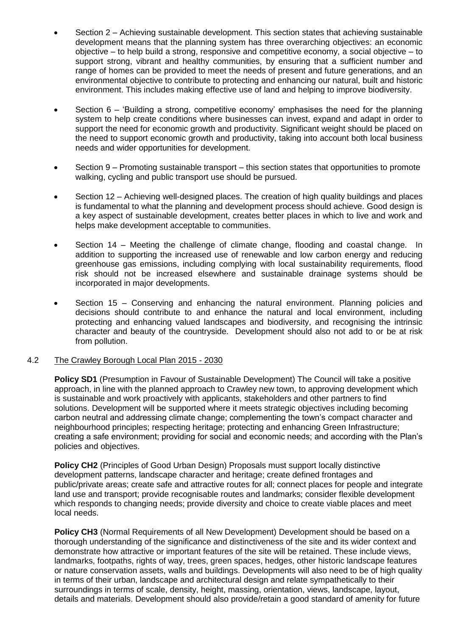- Section 2 Achieving sustainable development. This section states that achieving sustainable development means that the planning system has three overarching objectives: an economic objective – to help build a strong, responsive and competitive economy, a social objective – to support strong, vibrant and healthy communities, by ensuring that a sufficient number and range of homes can be provided to meet the needs of present and future generations, and an environmental objective to contribute to protecting and enhancing our natural, built and historic environment. This includes making effective use of land and helping to improve biodiversity.
- Section 6 'Building a strong, competitive economy' emphasises the need for the planning system to help create conditions where businesses can invest, expand and adapt in order to support the need for economic growth and productivity. Significant weight should be placed on the need to support economic growth and productivity, taking into account both local business needs and wider opportunities for development.
- Section 9 Promoting sustainable transport this section states that opportunities to promote walking, cycling and public transport use should be pursued.
- Section 12 Achieving well-designed places. The creation of high quality buildings and places is fundamental to what the planning and development process should achieve. Good design is a key aspect of sustainable development, creates better places in which to live and work and helps make development acceptable to communities.
- Section 14 Meeting the challenge of climate change, flooding and coastal change. In addition to supporting the increased use of renewable and low carbon energy and reducing greenhouse gas emissions, including complying with local sustainability requirements, flood risk should not be increased elsewhere and sustainable drainage systems should be incorporated in major developments.
- Section 15 Conserving and enhancing the natural environment. Planning policies and decisions should contribute to and enhance the natural and local environment, including protecting and enhancing valued landscapes and biodiversity, and recognising the intrinsic character and beauty of the countryside. Development should also not add to or be at risk from pollution.

### 4.2 The Crawley Borough Local Plan 2015 - 2030

**Policy SD1** (Presumption in Favour of Sustainable Development) The Council will take a positive approach, in line with the planned approach to Crawley new town, to approving development which is sustainable and work proactively with applicants, stakeholders and other partners to find solutions. Development will be supported where it meets strategic objectives including becoming carbon neutral and addressing climate change; complementing the town's compact character and neighbourhood principles; respecting heritage; protecting and enhancing Green Infrastructure; creating a safe environment; providing for social and economic needs; and according with the Plan's policies and objectives.

**Policy CH2** (Principles of Good Urban Design) Proposals must support locally distinctive development patterns, landscape character and heritage; create defined frontages and public/private areas; create safe and attractive routes for all; connect places for people and integrate land use and transport; provide recognisable routes and landmarks; consider flexible development which responds to changing needs; provide diversity and choice to create viable places and meet local needs.

**Policy CH3** (Normal Requirements of all New Development) Development should be based on a thorough understanding of the significance and distinctiveness of the site and its wider context and demonstrate how attractive or important features of the site will be retained. These include views, landmarks, footpaths, rights of way, trees, green spaces, hedges, other historic landscape features or nature conservation assets, walls and buildings. Developments will also need to be of high quality in terms of their urban, landscape and architectural design and relate sympathetically to their surroundings in terms of scale, density, height, massing, orientation, views, landscape, layout, details and materials. Development should also provide/retain a good standard of amenity for future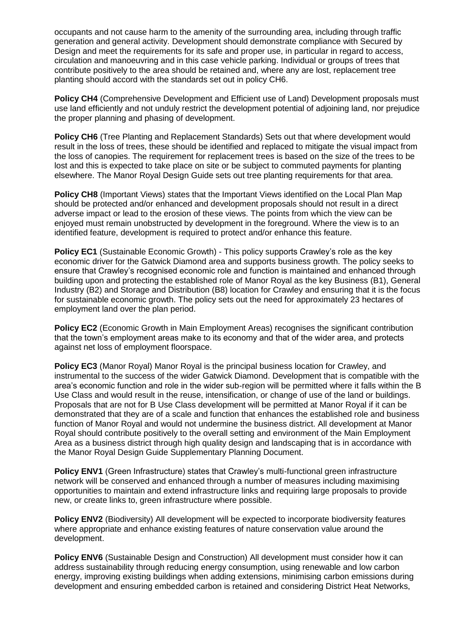occupants and not cause harm to the amenity of the surrounding area, including through traffic generation and general activity. Development should demonstrate compliance with Secured by Design and meet the requirements for its safe and proper use, in particular in regard to access, circulation and manoeuvring and in this case vehicle parking. Individual or groups of trees that contribute positively to the area should be retained and, where any are lost, replacement tree planting should accord with the standards set out in policy CH6.

**Policy CH4** (Comprehensive Development and Efficient use of Land) Development proposals must use land efficiently and not unduly restrict the development potential of adjoining land, nor prejudice the proper planning and phasing of development.

**Policy CH6** (Tree Planting and Replacement Standards) Sets out that where development would result in the loss of trees, these should be identified and replaced to mitigate the visual impact from the loss of canopies. The requirement for replacement trees is based on the size of the trees to be lost and this is expected to take place on site or be subject to commuted payments for planting elsewhere. The Manor Royal Design Guide sets out tree planting requirements for that area.

**Policy CH8** (Important Views) states that the Important Views identified on the Local Plan Map should be protected and/or enhanced and development proposals should not result in a direct adverse impact or lead to the erosion of these views. The points from which the view can be enjoyed must remain unobstructed by development in the foreground. Where the view is to an identified feature, development is required to protect and/or enhance this feature.

**Policy EC1** (Sustainable Economic Growth) - This policy supports Crawley's role as the key economic driver for the Gatwick Diamond area and supports business growth. The policy seeks to ensure that Crawley's recognised economic role and function is maintained and enhanced through building upon and protecting the established role of Manor Royal as the key Business (B1), General Industry (B2) and Storage and Distribution (B8) location for Crawley and ensuring that it is the focus for sustainable economic growth. The policy sets out the need for approximately 23 hectares of employment land over the plan period.

**Policy EC2** (Economic Growth in Main Employment Areas) recognises the significant contribution that the town's employment areas make to its economy and that of the wider area, and protects against net loss of employment floorspace.

**Policy EC3** (Manor Royal) Manor Royal is the principal business location for Crawley, and instrumental to the success of the wider Gatwick Diamond. Development that is compatible with the area's economic function and role in the wider sub-region will be permitted where it falls within the B Use Class and would result in the reuse, intensification, or change of use of the land or buildings. Proposals that are not for B Use Class development will be permitted at Manor Royal if it can be demonstrated that they are of a scale and function that enhances the established role and business function of Manor Royal and would not undermine the business district. All development at Manor Royal should contribute positively to the overall setting and environment of the Main Employment Area as a business district through high quality design and landscaping that is in accordance with the Manor Royal Design Guide Supplementary Planning Document.

**Policy ENV1** (Green Infrastructure) states that Crawley's multi-functional green infrastructure network will be conserved and enhanced through a number of measures including maximising opportunities to maintain and extend infrastructure links and requiring large proposals to provide new, or create links to, green infrastructure where possible.

**Policy ENV2** (Biodiversity) All development will be expected to incorporate biodiversity features where appropriate and enhance existing features of nature conservation value around the development.

**Policy ENV6** (Sustainable Design and Construction) All development must consider how it can address sustainability through reducing energy consumption, using renewable and low carbon energy, improving existing buildings when adding extensions, minimising carbon emissions during development and ensuring embedded carbon is retained and considering District Heat Networks,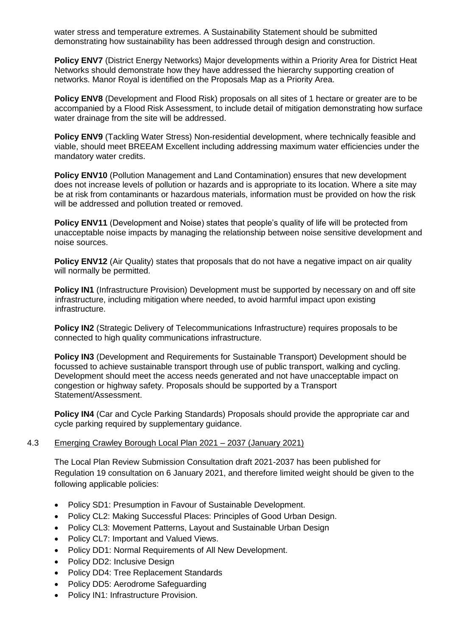water stress and temperature extremes. A Sustainability Statement should be submitted demonstrating how sustainability has been addressed through design and construction.

**Policy ENV7** (District Energy Networks) Major developments within a Priority Area for District Heat Networks should demonstrate how they have addressed the hierarchy supporting creation of networks. Manor Royal is identified on the Proposals Map as a Priority Area.

**Policy ENV8** (Development and Flood Risk) proposals on all sites of 1 hectare or greater are to be accompanied by a Flood Risk Assessment, to include detail of mitigation demonstrating how surface water drainage from the site will be addressed.

**Policy ENV9** (Tackling Water Stress) Non-residential development, where technically feasible and viable, should meet BREEAM Excellent including addressing maximum water efficiencies under the mandatory water credits.

**Policy ENV10** (Pollution Management and Land Contamination) ensures that new development does not increase levels of pollution or hazards and is appropriate to its location. Where a site may be at risk from contaminants or hazardous materials, information must be provided on how the risk will be addressed and pollution treated or removed.

**Policy ENV11** (Development and Noise) states that people's quality of life will be protected from unacceptable noise impacts by managing the relationship between noise sensitive development and noise sources.

**Policy ENV12** (Air Quality) states that proposals that do not have a negative impact on air quality will normally be permitted.

**Policy IN1** (Infrastructure Provision) Development must be supported by necessary on and off site infrastructure, including mitigation where needed, to avoid harmful impact upon existing infrastructure.

**Policy IN2** (Strategic Delivery of Telecommunications Infrastructure) requires proposals to be connected to high quality communications infrastructure.

**Policy IN3** (Development and Requirements for Sustainable Transport) Development should be focussed to achieve sustainable transport through use of public transport, walking and cycling. Development should meet the access needs generated and not have unacceptable impact on congestion or highway safety. Proposals should be supported by a Transport Statement/Assessment.

**Policy IN4** (Car and Cycle Parking Standards) Proposals should provide the appropriate car and cycle parking required by supplementary guidance.

## 4.3 Emerging Crawley Borough Local Plan 2021 – 2037 (January 2021)

The Local Plan Review Submission Consultation draft 2021-2037 has been published for Regulation 19 consultation on 6 January 2021, and therefore limited weight should be given to the following applicable policies:

- Policy SD1: Presumption in Favour of Sustainable Development.
- Policy CL2: Making Successful Places: Principles of Good Urban Design.
- Policy CL3: Movement Patterns, Layout and Sustainable Urban Design
- Policy CL7: Important and Valued Views.
- Policy DD1: Normal Requirements of All New Development.
- Policy DD2: Inclusive Design
- Policy DD4: Tree Replacement Standards
- Policy DD5: Aerodrome Safeguarding
- Policy IN1: Infrastructure Provision.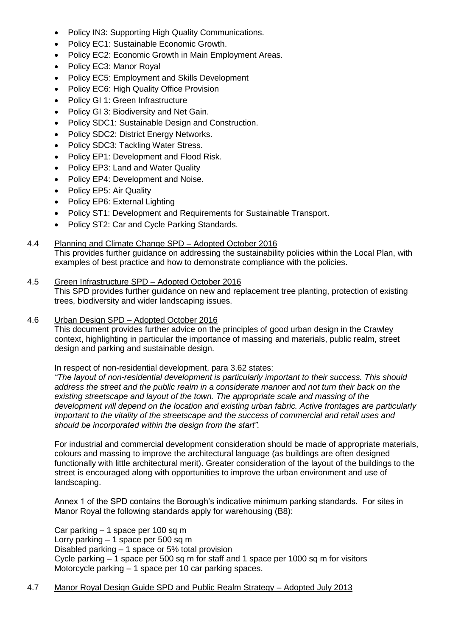- Policy IN3: Supporting High Quality Communications.
- Policy EC1: Sustainable Economic Growth.
- Policy EC2: Economic Growth in Main Employment Areas.
- Policy EC3: Manor Royal
- Policy EC5: Employment and Skills Development
- Policy EC6: High Quality Office Provision
- Policy GI 1: Green Infrastructure
- Policy GI 3: Biodiversity and Net Gain.
- Policy SDC1: Sustainable Design and Construction.
- Policy SDC2: District Energy Networks.
- Policy SDC3: Tackling Water Stress.
- Policy EP1: Development and Flood Risk.
- Policy EP3: Land and Water Quality
- Policy EP4: Development and Noise.
- Policy EP5: Air Quality
- Policy EP6: External Lighting
- Policy ST1: Development and Requirements for Sustainable Transport.
- Policy ST2: Car and Cycle Parking Standards.

### 4.4 Planning and Climate Change SPD – Adopted October 2016

This provides further guidance on addressing the sustainability policies within the Local Plan, with examples of best practice and how to demonstrate compliance with the policies.

#### 4.5 Green Infrastructure SPD – Adopted October 2016

This SPD provides further guidance on new and replacement tree planting, protection of existing trees, biodiversity and wider landscaping issues.

#### 4.6 Urban Design SPD – Adopted October 2016

This document provides further advice on the principles of good urban design in the Crawley context, highlighting in particular the importance of massing and materials, public realm, street design and parking and sustainable design.

In respect of non-residential development, para 3.62 states:

*"The layout of non-residential development is particularly important to their success. This should address the street and the public realm in a considerate manner and not turn their back on the existing streetscape and layout of the town. The appropriate scale and massing of the development will depend on the location and existing urban fabric. Active frontages are particularly important to the vitality of the streetscape and the success of commercial and retail uses and should be incorporated within the design from the start".*

For industrial and commercial development consideration should be made of appropriate materials, colours and massing to improve the architectural language (as buildings are often designed functionally with little architectural merit). Greater consideration of the layout of the buildings to the street is encouraged along with opportunities to improve the urban environment and use of landscaping.

Annex 1 of the SPD contains the Borough's indicative minimum parking standards. For sites in Manor Royal the following standards apply for warehousing (B8):

Car parking – 1 space per 100 sq m Lorry parking – 1 space per 500 sq m Disabled parking – 1 space or 5% total provision Cycle parking – 1 space per 500 sq m for staff and 1 space per 1000 sq m for visitors Motorcycle parking – 1 space per 10 car parking spaces.

### 4.7 Manor Royal Design Guide SPD and Public Realm Strategy – Adopted July 2013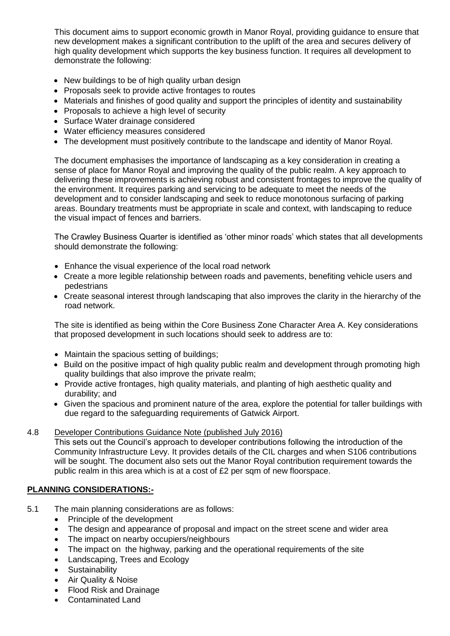This document aims to support economic growth in Manor Royal, providing guidance to ensure that new development makes a significant contribution to the uplift of the area and secures delivery of high quality development which supports the key business function. It requires all development to demonstrate the following:

- New buildings to be of high quality urban design
- Proposals seek to provide active frontages to routes
- Materials and finishes of good quality and support the principles of identity and sustainability
- Proposals to achieve a high level of security
- Surface Water drainage considered
- Water efficiency measures considered
- The development must positively contribute to the landscape and identity of Manor Royal.

The document emphasises the importance of landscaping as a key consideration in creating a sense of place for Manor Royal and improving the quality of the public realm. A key approach to delivering these improvements is achieving robust and consistent frontages to improve the quality of the environment. It requires parking and servicing to be adequate to meet the needs of the development and to consider landscaping and seek to reduce monotonous surfacing of parking areas. Boundary treatments must be appropriate in scale and context, with landscaping to reduce the visual impact of fences and barriers.

The Crawley Business Quarter is identified as 'other minor roads' which states that all developments should demonstrate the following:

- Enhance the visual experience of the local road network
- Create a more legible relationship between roads and pavements, benefiting vehicle users and pedestrians
- Create seasonal interest through landscaping that also improves the clarity in the hierarchy of the road network.

The site is identified as being within the Core Business Zone Character Area A. Key considerations that proposed development in such locations should seek to address are to:

- Maintain the spacious setting of buildings;
- Build on the positive impact of high quality public realm and development through promoting high quality buildings that also improve the private realm;
- Provide active frontages, high quality materials, and planting of high aesthetic quality and durability; and
- Given the spacious and prominent nature of the area, explore the potential for taller buildings with due regard to the safeguarding requirements of Gatwick Airport.

### 4.8 Developer Contributions Guidance Note (published July 2016)

This sets out the Council's approach to developer contributions following the introduction of the Community Infrastructure Levy. It provides details of the CIL charges and when S106 contributions will be sought. The document also sets out the Manor Royal contribution requirement towards the public realm in this area which is at a cost of £2 per sqm of new floorspace.

### **PLANNING CONSIDERATIONS:-**

- 5.1 The main planning considerations are as follows:
	- Principle of the development
	- The design and appearance of proposal and impact on the street scene and wider area
	- The impact on nearby occupiers/neighbours
	- The impact on the highway, parking and the operational requirements of the site
	- Landscaping, Trees and Ecology
	- **•** Sustainability
	- Air Quality & Noise
	- Flood Risk and Drainage
	- Contaminated Land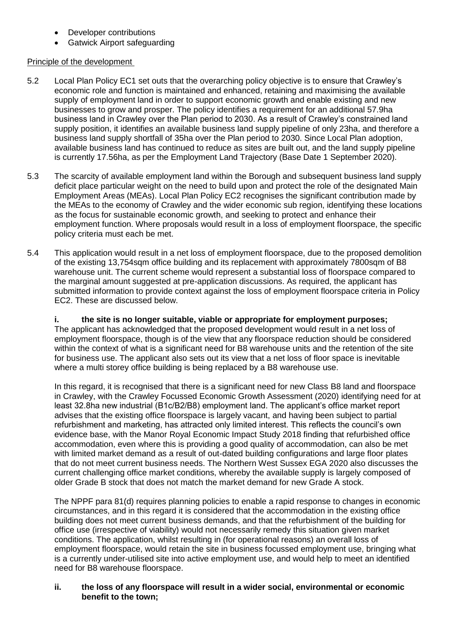- Developer contributions
- Gatwick Airport safeguarding

## Principle of the development

- 5.2 Local Plan Policy EC1 set outs that the overarching policy objective is to ensure that Crawley's economic role and function is maintained and enhanced, retaining and maximising the available supply of employment land in order to support economic growth and enable existing and new businesses to grow and prosper. The policy identifies a requirement for an additional 57.9ha business land in Crawley over the Plan period to 2030. As a result of Crawley's constrained land supply position, it identifies an available business land supply pipeline of only 23ha, and therefore a business land supply shortfall of 35ha over the Plan period to 2030. Since Local Plan adoption, available business land has continued to reduce as sites are built out, and the land supply pipeline is currently 17.56ha, as per the Employment Land Trajectory (Base Date 1 September 2020).
- 5.3 The scarcity of available employment land within the Borough and subsequent business land supply deficit place particular weight on the need to build upon and protect the role of the designated Main Employment Areas (MEAs). Local Plan Policy EC2 recognises the significant contribution made by the MEAs to the economy of Crawley and the wider economic sub region, identifying these locations as the focus for sustainable economic growth, and seeking to protect and enhance their employment function. Where proposals would result in a loss of employment floorspace, the specific policy criteria must each be met.
- 5.4 This application would result in a net loss of employment floorspace, due to the proposed demolition of the existing 13,754sqm office building and its replacement with approximately 7800sqm of B8 warehouse unit. The current scheme would represent a substantial loss of floorspace compared to the marginal amount suggested at pre-application discussions. As required, the applicant has submitted information to provide context against the loss of employment floorspace criteria in Policy EC2. These are discussed below.

#### **i. the site is no longer suitable, viable or appropriate for employment purposes;**  The applicant has acknowledged that the proposed development would result in a net loss of employment floorspace, though is of the view that any floorspace reduction should be considered within the context of what is a significant need for B8 warehouse units and the retention of the site for business use. The applicant also sets out its view that a net loss of floor space is inevitable where a multi storey office building is being replaced by a B8 warehouse use.

In this regard, it is recognised that there is a significant need for new Class B8 land and floorspace in Crawley, with the Crawley Focussed Economic Growth Assessment (2020) identifying need for at least 32.8ha new industrial (B1c/B2/B8) employment land. The applicant's office market report advises that the existing office floorspace is largely vacant, and having been subject to partial refurbishment and marketing, has attracted only limited interest. This reflects the council's own evidence base, with the Manor Royal Economic Impact Study 2018 finding that refurbished office accommodation, even where this is providing a good quality of accommodation, can also be met with limited market demand as a result of out-dated building configurations and large floor plates that do not meet current business needs. The Northern West Sussex EGA 2020 also discusses the current challenging office market conditions, whereby the available supply is largely composed of older Grade B stock that does not match the market demand for new Grade A stock.

The NPPF para 81(d) requires planning policies to enable a rapid response to changes in economic circumstances, and in this regard it is considered that the accommodation in the existing office building does not meet current business demands, and that the refurbishment of the building for office use (irrespective of viability) would not necessarily remedy this situation given market conditions. The application, whilst resulting in (for operational reasons) an overall loss of employment floorspace, would retain the site in business focussed employment use, bringing what is a currently under-utilised site into active employment use, and would help to meet an identified need for B8 warehouse floorspace.

### **ii. the loss of any floorspace will result in a wider social, environmental or economic benefit to the town;**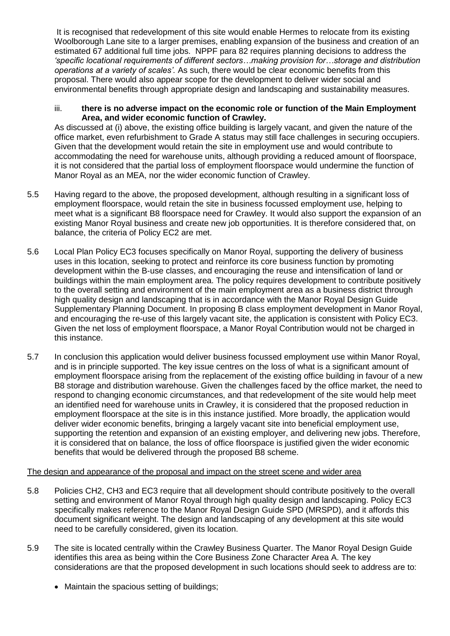It is recognised that redevelopment of this site would enable Hermes to relocate from its existing Woolborough Lane site to a larger premises, enabling expansion of the business and creation of an estimated 67 additional full time jobs. NPPF para 82 requires planning decisions to address the *'specific locational requirements of different sectors…making provision for…storage and distribution operations at a variety of scales'.* As such, there would be clear economic benefits from this proposal. There would also appear scope for the development to deliver wider social and environmental benefits through appropriate design and landscaping and sustainability measures.

#### iii. **there is no adverse impact on the economic role or function of the Main Employment Area, and wider economic function of Crawley.**

As discussed at (i) above, the existing office building is largely vacant, and given the nature of the office market, even refurbishment to Grade A status may still face challenges in securing occupiers. Given that the development would retain the site in employment use and would contribute to accommodating the need for warehouse units, although providing a reduced amount of floorspace, it is not considered that the partial loss of employment floorspace would undermine the function of Manor Royal as an MEA, nor the wider economic function of Crawley.

- 5.5 Having regard to the above, the proposed development, although resulting in a significant loss of employment floorspace, would retain the site in business focussed employment use, helping to meet what is a significant B8 floorspace need for Crawley. It would also support the expansion of an existing Manor Royal business and create new job opportunities. It is therefore considered that, on balance, the criteria of Policy EC2 are met.
- 5.6 Local Plan Policy EC3 focuses specifically on Manor Royal, supporting the delivery of business uses in this location, seeking to protect and reinforce its core business function by promoting development within the B-use classes, and encouraging the reuse and intensification of land or buildings within the main employment area. The policy requires development to contribute positively to the overall setting and environment of the main employment area as a business district through high quality design and landscaping that is in accordance with the Manor Royal Design Guide Supplementary Planning Document. In proposing B class employment development in Manor Royal, and encouraging the re-use of this largely vacant site, the application is consistent with Policy EC3. Given the net loss of employment floorspace, a Manor Royal Contribution would not be charged in this instance.
- 5.7 In conclusion this application would deliver business focussed employment use within Manor Royal, and is in principle supported. The key issue centres on the loss of what is a significant amount of employment floorspace arising from the replacement of the existing office building in favour of a new B8 storage and distribution warehouse. Given the challenges faced by the office market, the need to respond to changing economic circumstances, and that redevelopment of the site would help meet an identified need for warehouse units in Crawley, it is considered that the proposed reduction in employment floorspace at the site is in this instance justified. More broadly, the application would deliver wider economic benefits, bringing a largely vacant site into beneficial employment use, supporting the retention and expansion of an existing employer, and delivering new jobs. Therefore, it is considered that on balance, the loss of office floorspace is justified given the wider economic benefits that would be delivered through the proposed B8 scheme.

# The design and appearance of the proposal and impact on the street scene and wider area

- 5.8 Policies CH2, CH3 and EC3 require that all development should contribute positively to the overall setting and environment of Manor Royal through high quality design and landscaping. Policy EC3 specifically makes reference to the Manor Royal Design Guide SPD (MRSPD), and it affords this document significant weight. The design and landscaping of any development at this site would need to be carefully considered, given its location.
- 5.9 The site is located centrally within the Crawley Business Quarter. The Manor Royal Design Guide identifies this area as being within the Core Business Zone Character Area A. The key considerations are that the proposed development in such locations should seek to address are to:
	- Maintain the spacious setting of buildings;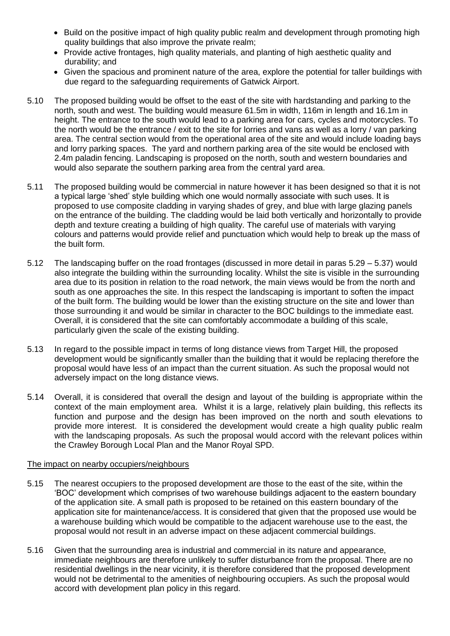- Build on the positive impact of high quality public realm and development through promoting high quality buildings that also improve the private realm;
- Provide active frontages, high quality materials, and planting of high aesthetic quality and durability; and
- Given the spacious and prominent nature of the area, explore the potential for taller buildings with due regard to the safeguarding requirements of Gatwick Airport.
- 5.10 The proposed building would be offset to the east of the site with hardstanding and parking to the north, south and west. The building would measure 61.5m in width, 116m in length and 16.1m in height. The entrance to the south would lead to a parking area for cars, cycles and motorcycles. To the north would be the entrance / exit to the site for lorries and vans as well as a lorry / van parking area. The central section would from the operational area of the site and would include loading bays and lorry parking spaces. The yard and northern parking area of the site would be enclosed with 2.4m paladin fencing. Landscaping is proposed on the north, south and western boundaries and would also separate the southern parking area from the central yard area.
- 5.11 The proposed building would be commercial in nature however it has been designed so that it is not a typical large 'shed' style building which one would normally associate with such uses. It is proposed to use composite cladding in varying shades of grey, and blue with large glazing panels on the entrance of the building. The cladding would be laid both vertically and horizontally to provide depth and texture creating a building of high quality. The careful use of materials with varying colours and patterns would provide relief and punctuation which would help to break up the mass of the built form.
- 5.12 The landscaping buffer on the road frontages (discussed in more detail in paras 5.29 5.37) would also integrate the building within the surrounding locality. Whilst the site is visible in the surrounding area due to its position in relation to the road network, the main views would be from the north and south as one approaches the site. In this respect the landscaping is important to soften the impact of the built form. The building would be lower than the existing structure on the site and lower than those surrounding it and would be similar in character to the BOC buildings to the immediate east. Overall, it is considered that the site can comfortably accommodate a building of this scale, particularly given the scale of the existing building.
- 5.13 In regard to the possible impact in terms of long distance views from Target Hill, the proposed development would be significantly smaller than the building that it would be replacing therefore the proposal would have less of an impact than the current situation. As such the proposal would not adversely impact on the long distance views.
- 5.14 Overall, it is considered that overall the design and layout of the building is appropriate within the context of the main employment area. Whilst it is a large, relatively plain building, this reflects its function and purpose and the design has been improved on the north and south elevations to provide more interest. It is considered the development would create a high quality public realm with the landscaping proposals. As such the proposal would accord with the relevant polices within the Crawley Borough Local Plan and the Manor Royal SPD.

### The impact on nearby occupiers/neighbours

- 5.15 The nearest occupiers to the proposed development are those to the east of the site, within the 'BOC' development which comprises of two warehouse buildings adjacent to the eastern boundary of the application site. A small path is proposed to be retained on this eastern boundary of the application site for maintenance/access. It is considered that given that the proposed use would be a warehouse building which would be compatible to the adjacent warehouse use to the east, the proposal would not result in an adverse impact on these adjacent commercial buildings.
- 5.16 Given that the surrounding area is industrial and commercial in its nature and appearance, immediate neighbours are therefore unlikely to suffer disturbance from the proposal. There are no residential dwellings in the near vicinity, it is therefore considered that the proposed development would not be detrimental to the amenities of neighbouring occupiers. As such the proposal would accord with development plan policy in this regard.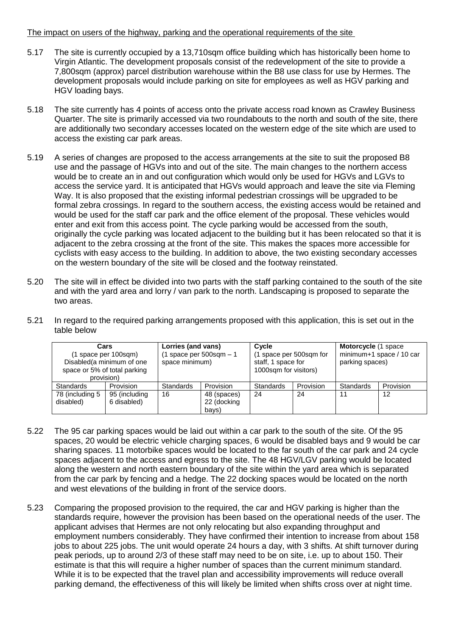### The impact on users of the highway, parking and the operational requirements of the site

- 5.17 The site is currently occupied by a 13,710sqm office building which has historically been home to Virgin Atlantic. The development proposals consist of the redevelopment of the site to provide a 7,800sqm (approx) parcel distribution warehouse within the B8 use class for use by Hermes. The development proposals would include parking on site for employees as well as HGV parking and HGV loading bays.
- 5.18 The site currently has 4 points of access onto the private access road known as Crawley Business Quarter. The site is primarily accessed via two roundabouts to the north and south of the site, there are additionally two secondary accesses located on the western edge of the site which are used to access the existing car park areas.
- 5.19 A series of changes are proposed to the access arrangements at the site to suit the proposed B8 use and the passage of HGVs into and out of the site. The main changes to the northern access would be to create an in and out configuration which would only be used for HGVs and LGVs to access the service yard. It is anticipated that HGVs would approach and leave the site via Fleming Way. It is also proposed that the existing informal pedestrian crossings will be upgraded to be formal zebra crossings. In regard to the southern access, the existing access would be retained and would be used for the staff car park and the office element of the proposal. These vehicles would enter and exit from this access point. The cycle parking would be accessed from the south, originally the cycle parking was located adjacent to the building but it has been relocated so that it is adjacent to the zebra crossing at the front of the site. This makes the spaces more accessible for cyclists with easy access to the building. In addition to above, the two existing secondary accesses on the western boundary of the site will be closed and the footway reinstated.
- 5.20 The site will in effect be divided into two parts with the staff parking contained to the south of the site and with the yard area and lorry / van park to the north. Landscaping is proposed to separate the two areas.
- 5.21 In regard to the required parking arrangements proposed with this application, this is set out in the table below

|                               | Cars<br>(1 space per 100sqm)<br>Disabled (a minimum of one<br>space or 5% of total parking<br>provision) | Lorries (and vans)<br>1 space per 500sqm – 1<br>space minimum) |                                     | Cycle<br>(1 space per 500sqm for<br>staff, 1 space for<br>1000sqm for visitors) |           | <b>Motorcycle</b> (1 space<br>minimum+1 space / 10 car<br>parking spaces) |           |
|-------------------------------|----------------------------------------------------------------------------------------------------------|----------------------------------------------------------------|-------------------------------------|---------------------------------------------------------------------------------|-----------|---------------------------------------------------------------------------|-----------|
| Standards                     | Provision                                                                                                | <b>Standards</b>                                               | Provision                           | Standards                                                                       | Provision | Standards                                                                 | Provision |
| 78 (including 5)<br>disabled) | 95 (including<br>6 disabled)                                                                             | 16                                                             | 48 (spaces)<br>22 (docking<br>bays) | 24                                                                              | 24        | 11                                                                        | 12        |

- 5.22 The 95 car parking spaces would be laid out within a car park to the south of the site. Of the 95 spaces, 20 would be electric vehicle charging spaces, 6 would be disabled bays and 9 would be car sharing spaces. 11 motorbike spaces would be located to the far south of the car park and 24 cycle spaces adjacent to the access and egress to the site. The 48 HGV/LGV parking would be located along the western and north eastern boundary of the site within the yard area which is separated from the car park by fencing and a hedge. The 22 docking spaces would be located on the north and west elevations of the building in front of the service doors.
- 5.23 Comparing the proposed provision to the required, the car and HGV parking is higher than the standards require, however the provision has been based on the operational needs of the user. The applicant advises that Hermes are not only relocating but also expanding throughput and employment numbers considerably. They have confirmed their intention to increase from about 158 jobs to about 225 jobs. The unit would operate 24 hours a day, with 3 shifts. At shift turnover during peak periods, up to around 2/3 of these staff may need to be on site, i.e. up to about 150. Their estimate is that this will require a higher number of spaces than the current minimum standard. While it is to be expected that the travel plan and accessibility improvements will reduce overall parking demand, the effectiveness of this will likely be limited when shifts cross over at night time.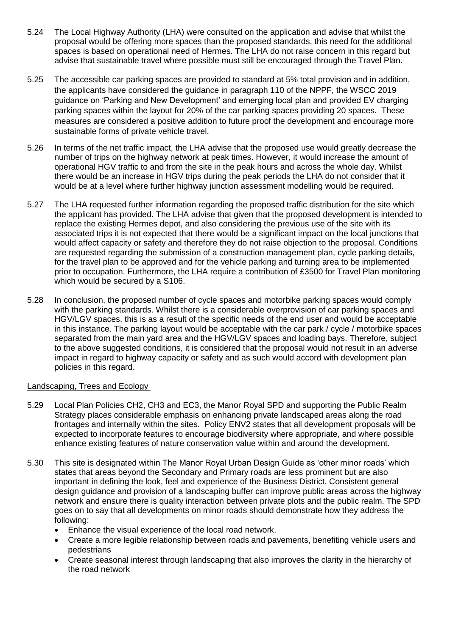- 5.24 The Local Highway Authority (LHA) were consulted on the application and advise that whilst the proposal would be offering more spaces than the proposed standards, this need for the additional spaces is based on operational need of Hermes. The LHA do not raise concern in this regard but advise that sustainable travel where possible must still be encouraged through the Travel Plan.
- 5.25 The accessible car parking spaces are provided to standard at 5% total provision and in addition, the applicants have considered the guidance in paragraph 110 of the NPPF, the WSCC 2019 guidance on 'Parking and New Development' and emerging local plan and provided EV charging parking spaces within the layout for 20% of the car parking spaces providing 20 spaces. These measures are considered a positive addition to future proof the development and encourage more sustainable forms of private vehicle travel.
- 5.26 In terms of the net traffic impact, the LHA advise that the proposed use would greatly decrease the number of trips on the highway network at peak times. However, it would increase the amount of operational HGV traffic to and from the site in the peak hours and across the whole day. Whilst there would be an increase in HGV trips during the peak periods the LHA do not consider that it would be at a level where further highway junction assessment modelling would be required.
- 5.27 The LHA requested further information regarding the proposed traffic distribution for the site which the applicant has provided. The LHA advise that given that the proposed development is intended to replace the existing Hermes depot, and also considering the previous use of the site with its associated trips it is not expected that there would be a significant impact on the local junctions that would affect capacity or safety and therefore they do not raise objection to the proposal. Conditions are requested regarding the submission of a construction management plan, cycle parking details, for the travel plan to be approved and for the vehicle parking and turning area to be implemented prior to occupation. Furthermore, the LHA require a contribution of £3500 for Travel Plan monitoring which would be secured by a S106.
- 5.28 In conclusion, the proposed number of cycle spaces and motorbike parking spaces would comply with the parking standards. Whilst there is a considerable overprovision of car parking spaces and HGV/LGV spaces, this is as a result of the specific needs of the end user and would be acceptable in this instance. The parking layout would be acceptable with the car park / cycle / motorbike spaces separated from the main yard area and the HGV/LGV spaces and loading bays. Therefore, subject to the above suggested conditions, it is considered that the proposal would not result in an adverse impact in regard to highway capacity or safety and as such would accord with development plan policies in this regard.

### Landscaping, Trees and Ecology

- 5.29 Local Plan Policies CH2, CH3 and EC3, the Manor Royal SPD and supporting the Public Realm Strategy places considerable emphasis on enhancing private landscaped areas along the road frontages and internally within the sites. Policy ENV2 states that all development proposals will be expected to incorporate features to encourage biodiversity where appropriate, and where possible enhance existing features of nature conservation value within and around the development.
- 5.30 This site is designated within The Manor Royal Urban Design Guide as 'other minor roads' which states that areas beyond the Secondary and Primary roads are less prominent but are also important in defining the look, feel and experience of the Business District. Consistent general design guidance and provision of a landscaping buffer can improve public areas across the highway network and ensure there is quality interaction between private plots and the public realm. The SPD goes on to say that all developments on minor roads should demonstrate how they address the following:
	- Enhance the visual experience of the local road network.
	- Create a more legible relationship between roads and pavements, benefiting vehicle users and pedestrians
	- Create seasonal interest through landscaping that also improves the clarity in the hierarchy of the road network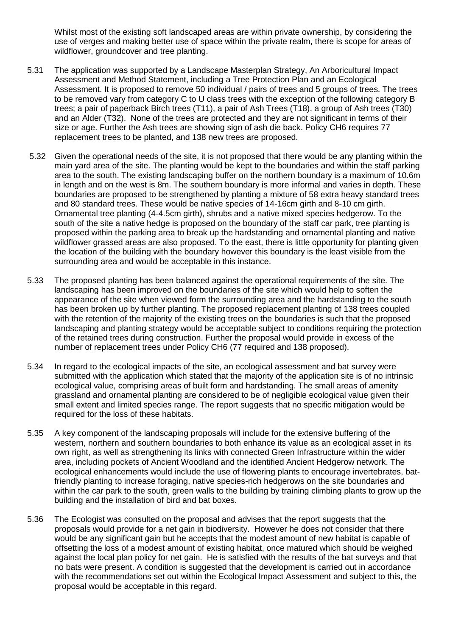Whilst most of the existing soft landscaped areas are within private ownership, by considering the use of verges and making better use of space within the private realm, there is scope for areas of wildflower, groundcover and tree planting.

- 5.31 The application was supported by a Landscape Masterplan Strategy, An Arboricultural Impact Assessment and Method Statement, including a Tree Protection Plan and an Ecological Assessment. It is proposed to remove 50 individual / pairs of trees and 5 groups of trees. The trees to be removed vary from category C to U class trees with the exception of the following category B trees; a pair of paperback Birch trees (T11), a pair of Ash Trees (T18), a group of Ash trees (T30) and an Alder (T32). None of the trees are protected and they are not significant in terms of their size or age. Further the Ash trees are showing sign of ash die back. Policy CH6 requires 77 replacement trees to be planted, and 138 new trees are proposed.
- 5.32 Given the operational needs of the site, it is not proposed that there would be any planting within the main yard area of the site. The planting would be kept to the boundaries and within the staff parking area to the south. The existing landscaping buffer on the northern boundary is a maximum of 10.6m in length and on the west is 8m. The southern boundary is more informal and varies in depth. These boundaries are proposed to be strengthened by planting a mixture of 58 extra heavy standard trees and 80 standard trees. These would be native species of 14-16cm girth and 8-10 cm girth. Ornamental tree planting (4-4.5cm girth), shrubs and a native mixed species hedgerow. To the south of the site a native hedge is proposed on the boundary of the staff car park, tree planting is proposed within the parking area to break up the hardstanding and ornamental planting and native wildflower grassed areas are also proposed. To the east, there is little opportunity for planting given the location of the building with the boundary however this boundary is the least visible from the surrounding area and would be acceptable in this instance.
- 5.33 The proposed planting has been balanced against the operational requirements of the site. The landscaping has been improved on the boundaries of the site which would help to soften the appearance of the site when viewed form the surrounding area and the hardstanding to the south has been broken up by further planting. The proposed replacement planting of 138 trees coupled with the retention of the majority of the existing trees on the boundaries is such that the proposed landscaping and planting strategy would be acceptable subject to conditions requiring the protection of the retained trees during construction. Further the proposal would provide in excess of the number of replacement trees under Policy CH6 (77 required and 138 proposed).
- 5.34 In regard to the ecological impacts of the site, an ecological assessment and bat survey were submitted with the application which stated that the majority of the application site is of no intrinsic ecological value, comprising areas of built form and hardstanding. The small areas of amenity grassland and ornamental planting are considered to be of negligible ecological value given their small extent and limited species range. The report suggests that no specific mitigation would be required for the loss of these habitats.
- 5.35 A key component of the landscaping proposals will include for the extensive buffering of the western, northern and southern boundaries to both enhance its value as an ecological asset in its own right, as well as strengthening its links with connected Green Infrastructure within the wider area, including pockets of Ancient Woodland and the identified Ancient Hedgerow network. The ecological enhancements would include the use of flowering plants to encourage invertebrates, batfriendly planting to increase foraging, native species-rich hedgerows on the site boundaries and within the car park to the south, green walls to the building by training climbing plants to grow up the building and the installation of bird and bat boxes.
- 5.36 The Ecologist was consulted on the proposal and advises that the report suggests that the proposals would provide for a net gain in biodiversity. However he does not consider that there would be any significant gain but he accepts that the modest amount of new habitat is capable of offsetting the loss of a modest amount of existing habitat, once matured which should be weighed against the local plan policy for net gain. He is satisfied with the results of the bat surveys and that no bats were present. A condition is suggested that the development is carried out in accordance with the recommendations set out within the Ecological Impact Assessment and subject to this, the proposal would be acceptable in this regard.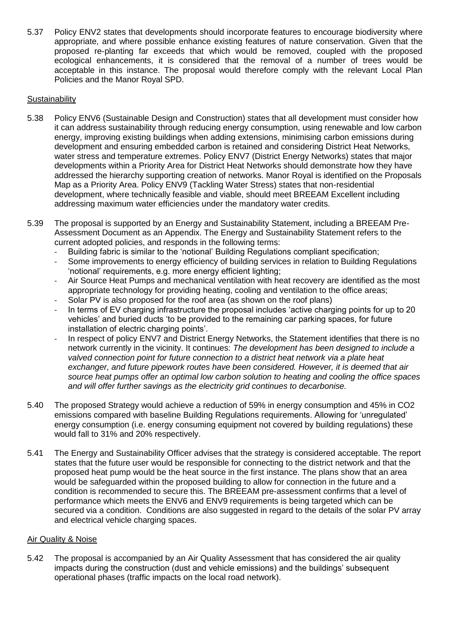5.37 Policy ENV2 states that developments should incorporate features to encourage biodiversity where appropriate, and where possible enhance existing features of nature conservation. Given that the proposed re-planting far exceeds that which would be removed, coupled with the proposed ecological enhancements, it is considered that the removal of a number of trees would be acceptable in this instance. The proposal would therefore comply with the relevant Local Plan Policies and the Manor Royal SPD.

# **Sustainability**

- 5.38 Policy ENV6 (Sustainable Design and Construction) states that all development must consider how it can address sustainability through reducing energy consumption, using renewable and low carbon energy, improving existing buildings when adding extensions, minimising carbon emissions during development and ensuring embedded carbon is retained and considering District Heat Networks, water stress and temperature extremes. Policy ENV7 (District Energy Networks) states that major developments within a Priority Area for District Heat Networks should demonstrate how they have addressed the hierarchy supporting creation of networks. Manor Royal is identified on the Proposals Map as a Priority Area. Policy ENV9 (Tackling Water Stress) states that non-residential development, where technically feasible and viable, should meet BREEAM Excellent including addressing maximum water efficiencies under the mandatory water credits.
- 5.39 The proposal is supported by an Energy and Sustainability Statement, including a BREEAM Pre-Assessment Document as an Appendix. The Energy and Sustainability Statement refers to the current adopted policies, and responds in the following terms:
	- Building fabric is similar to the 'notional' Building Regulations compliant specification;
	- Some improvements to energy efficiency of building services in relation to Building Regulations 'notional' requirements, e.g. more energy efficient lighting;
	- Air Source Heat Pumps and mechanical ventilation with heat recovery are identified as the most appropriate technology for providing heating, cooling and ventilation to the office areas;
	- Solar PV is also proposed for the roof area (as shown on the roof plans)
	- In terms of EV charging infrastructure the proposal includes 'active charging points for up to 20 vehicles' and buried ducts 'to be provided to the remaining car parking spaces, for future installation of electric charging points'.
	- In respect of policy ENV7 and District Energy Networks, the Statement identifies that there is no network currently in the vicinity. It continues: *The development has been designed to include a valved connection point for future connection to a district heat network via a plate heat exchanger, and future pipework routes have been considered. However, it is deemed that air source heat pumps offer an optimal low carbon solution to heating and cooling the office spaces and will offer further savings as the electricity grid continues to decarbonise.*
- 5.40 The proposed Strategy would achieve a reduction of 59% in energy consumption and 45% in CO2 emissions compared with baseline Building Regulations requirements. Allowing for 'unregulated' energy consumption (i.e. energy consuming equipment not covered by building regulations) these would fall to 31% and 20% respectively.
- 5.41 The Energy and Sustainability Officer advises that the strategy is considered acceptable. The report states that the future user would be responsible for connecting to the district network and that the proposed heat pump would be the heat source in the first instance. The plans show that an area would be safeguarded within the proposed building to allow for connection in the future and a condition is recommended to secure this. The BREEAM pre-assessment confirms that a level of performance which meets the ENV6 and ENV9 requirements is being targeted which can be secured via a condition. Conditions are also suggested in regard to the details of the solar PV array and electrical vehicle charging spaces.

### Air Quality & Noise

5.42 The proposal is accompanied by an Air Quality Assessment that has considered the air quality impacts during the construction (dust and vehicle emissions) and the buildings' subsequent operational phases (traffic impacts on the local road network).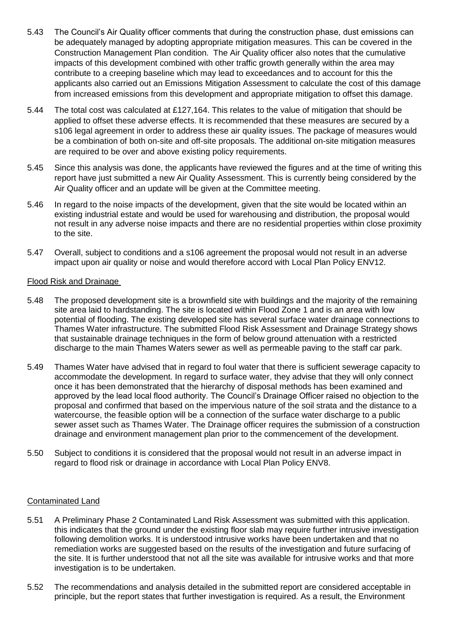- 5.43 The Council's Air Quality officer comments that during the construction phase, dust emissions can be adequately managed by adopting appropriate mitigation measures. This can be covered in the Construction Management Plan condition. The Air Quality officer also notes that the cumulative impacts of this development combined with other traffic growth generally within the area may contribute to a creeping baseline which may lead to exceedances and to account for this the applicants also carried out an Emissions Mitigation Assessment to calculate the cost of this damage from increased emissions from this development and appropriate mitigation to offset this damage.
- 5.44 The total cost was calculated at £127,164. This relates to the value of mitigation that should be applied to offset these adverse effects. It is recommended that these measures are secured by a s106 legal agreement in order to address these air quality issues. The package of measures would be a combination of both on-site and off-site proposals. The additional on-site mitigation measures are required to be over and above existing policy requirements.
- 5.45 Since this analysis was done, the applicants have reviewed the figures and at the time of writing this report have just submitted a new Air Quality Assessment. This is currently being considered by the Air Quality officer and an update will be given at the Committee meeting.
- 5.46 In regard to the noise impacts of the development, given that the site would be located within an existing industrial estate and would be used for warehousing and distribution, the proposal would not result in any adverse noise impacts and there are no residential properties within close proximity to the site.
- 5.47 Overall, subject to conditions and a s106 agreement the proposal would not result in an adverse impact upon air quality or noise and would therefore accord with Local Plan Policy ENV12.

### Flood Risk and Drainage

- 5.48 The proposed development site is a brownfield site with buildings and the majority of the remaining site area laid to hardstanding. The site is located within Flood Zone 1 and is an area with low potential of flooding. The existing developed site has several surface water drainage connections to Thames Water infrastructure. The submitted Flood Risk Assessment and Drainage Strategy shows that sustainable drainage techniques in the form of below ground attenuation with a restricted discharge to the main Thames Waters sewer as well as permeable paving to the staff car park.
- 5.49 Thames Water have advised that in regard to foul water that there is sufficient sewerage capacity to accommodate the development. In regard to surface water, they advise that they will only connect once it has been demonstrated that the hierarchy of disposal methods has been examined and approved by the lead local flood authority. The Council's Drainage Officer raised no objection to the proposal and confirmed that based on the impervious nature of the soil strata and the distance to a watercourse, the feasible option will be a connection of the surface water discharge to a public sewer asset such as Thames Water. The Drainage officer requires the submission of a construction drainage and environment management plan prior to the commencement of the development.
- 5.50 Subject to conditions it is considered that the proposal would not result in an adverse impact in regard to flood risk or drainage in accordance with Local Plan Policy ENV8.

### Contaminated Land

- 5.51 A Preliminary Phase 2 Contaminated Land Risk Assessment was submitted with this application. this indicates that the ground under the existing floor slab may require further intrusive investigation following demolition works. It is understood intrusive works have been undertaken and that no remediation works are suggested based on the results of the investigation and future surfacing of the site. It is further understood that not all the site was available for intrusive works and that more investigation is to be undertaken.
- 5.52 The recommendations and analysis detailed in the submitted report are considered acceptable in principle, but the report states that further investigation is required. As a result, the Environment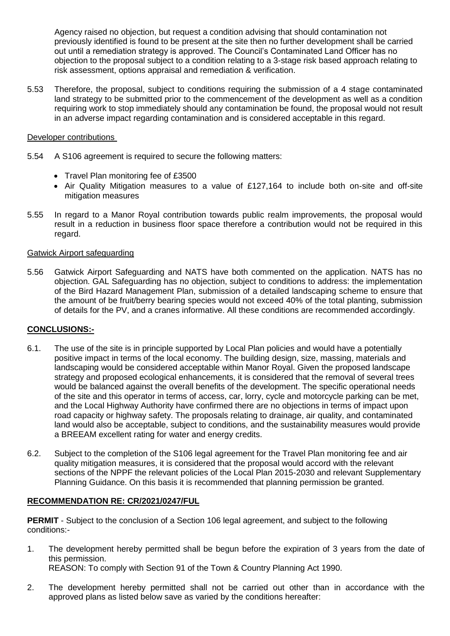Agency raised no objection, but request a condition advising that should contamination not previously identified is found to be present at the site then no further development shall be carried out until a remediation strategy is approved. The Council's Contaminated Land Officer has no objection to the proposal subject to a condition relating to a 3-stage risk based approach relating to risk assessment, options appraisal and remediation & verification.

5.53 Therefore, the proposal, subject to conditions requiring the submission of a 4 stage contaminated land strategy to be submitted prior to the commencement of the development as well as a condition requiring work to stop immediately should any contamination be found, the proposal would not result in an adverse impact regarding contamination and is considered acceptable in this regard.

## Developer contributions

- 5.54 A S106 agreement is required to secure the following matters:
	- Travel Plan monitoring fee of £3500
	- Air Quality Mitigation measures to a value of £127,164 to include both on-site and off-site mitigation measures
- 5.55 In regard to a Manor Royal contribution towards public realm improvements, the proposal would result in a reduction in business floor space therefore a contribution would not be required in this regard.

# Gatwick Airport safeguarding

5.56 Gatwick Airport Safeguarding and NATS have both commented on the application. NATS has no objection. GAL Safeguarding has no objection, subject to conditions to address: the implementation of the Bird Hazard Management Plan, submission of a detailed landscaping scheme to ensure that the amount of be fruit/berry bearing species would not exceed 40% of the total planting, submission of details for the PV, and a cranes informative. All these conditions are recommended accordingly.

# **CONCLUSIONS:-**

- 6.1. The use of the site is in principle supported by Local Plan policies and would have a potentially positive impact in terms of the local economy. The building design, size, massing, materials and landscaping would be considered acceptable within Manor Royal. Given the proposed landscape strategy and proposed ecological enhancements, it is considered that the removal of several trees would be balanced against the overall benefits of the development. The specific operational needs of the site and this operator in terms of access, car, lorry, cycle and motorcycle parking can be met, and the Local Highway Authority have confirmed there are no objections in terms of impact upon road capacity or highway safety. The proposals relating to drainage, air quality, and contaminated land would also be acceptable, subject to conditions, and the sustainability measures would provide a BREEAM excellent rating for water and energy credits.
- 6.2. Subject to the completion of the S106 legal agreement for the Travel Plan monitoring fee and air quality mitigation measures, it is considered that the proposal would accord with the relevant sections of the NPPF the relevant policies of the Local Plan 2015-2030 and relevant Supplementary Planning Guidance. On this basis it is recommended that planning permission be granted.

# **RECOMMENDATION RE: CR/2021/0247/FUL**

**PERMIT** - Subject to the conclusion of a Section 106 legal agreement, and subject to the following conditions:-

- 1. The development hereby permitted shall be begun before the expiration of 3 years from the date of this permission. REASON: To comply with Section 91 of the Town & Country Planning Act 1990.
- 2. The development hereby permitted shall not be carried out other than in accordance with the approved plans as listed below save as varied by the conditions hereafter: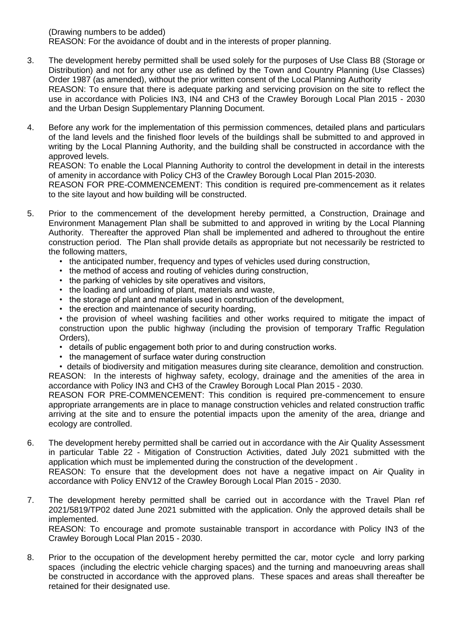(Drawing numbers to be added)

REASON: For the avoidance of doubt and in the interests of proper planning.

- 3. The development hereby permitted shall be used solely for the purposes of Use Class B8 (Storage or Distribution) and not for any other use as defined by the Town and Country Planning (Use Classes) Order 1987 (as amended), without the prior written consent of the Local Planning Authority REASON: To ensure that there is adequate parking and servicing provision on the site to reflect the use in accordance with Policies IN3, IN4 and CH3 of the Crawley Borough Local Plan 2015 - 2030 and the Urban Design Supplementary Planning Document.
- 4. Before any work for the implementation of this permission commences, detailed plans and particulars of the land levels and the finished floor levels of the buildings shall be submitted to and approved in writing by the Local Planning Authority, and the building shall be constructed in accordance with the approved levels.

REASON: To enable the Local Planning Authority to control the development in detail in the interests of amenity in accordance with Policy CH3 of the Crawley Borough Local Plan 2015-2030.

REASON FOR PRE-COMMENCEMENT: This condition is required pre-commencement as it relates to the site layout and how building will be constructed.

- 5. Prior to the commencement of the development hereby permitted, a Construction, Drainage and Environment Management Plan shall be submitted to and approved in writing by the Local Planning Authority. Thereafter the approved Plan shall be implemented and adhered to throughout the entire construction period. The Plan shall provide details as appropriate but not necessarily be restricted to the following matters,
	- the anticipated number, frequency and types of vehicles used during construction,
	- the method of access and routing of vehicles during construction,
	- the parking of vehicles by site operatives and visitors,
	- the loading and unloading of plant, materials and waste,
	- the storage of plant and materials used in construction of the development,
	- the erection and maintenance of security hoarding,
	- the provision of wheel washing facilities and other works required to mitigate the impact of construction upon the public highway (including the provision of temporary Traffic Regulation Orders),
	- details of public engagement both prior to and during construction works.
	- the management of surface water during construction
	- details of biodiversity and mitigation measures during site clearance, demolition and construction. REASON: In the interests of highway safety, ecology, drainage and the amenities of the area in accordance with Policy IN3 and CH3 of the Crawley Borough Local Plan 2015 - 2030.

REASON FOR PRE-COMMENCEMENT: This condition is required pre-commencement to ensure appropriate arrangements are in place to manage construction vehicles and related construction traffic arriving at the site and to ensure the potential impacts upon the amenity of the area, driange and ecology are controlled.

6. The development hereby permitted shall be carried out in accordance with the Air Quality Assessment in particular Table 22 - Mitigation of Construction Activities, dated July 2021 submitted with the application which must be implemented during the construction of the development .

REASON: To ensure that the development does not have a negative impact on Air Quality in accordance with Policy ENV12 of the Crawley Borough Local Plan 2015 - 2030.

7. The development hereby permitted shall be carried out in accordance with the Travel Plan ref 2021/5819/TP02 dated June 2021 submitted with the application. Only the approved details shall be implemented.

REASON: To encourage and promote sustainable transport in accordance with Policy IN3 of the Crawley Borough Local Plan 2015 - 2030.

8. Prior to the occupation of the development hereby permitted the car, motor cycle and lorry parking spaces (including the electric vehicle charging spaces) and the turning and manoeuvring areas shall be constructed in accordance with the approved plans. These spaces and areas shall thereafter be retained for their designated use.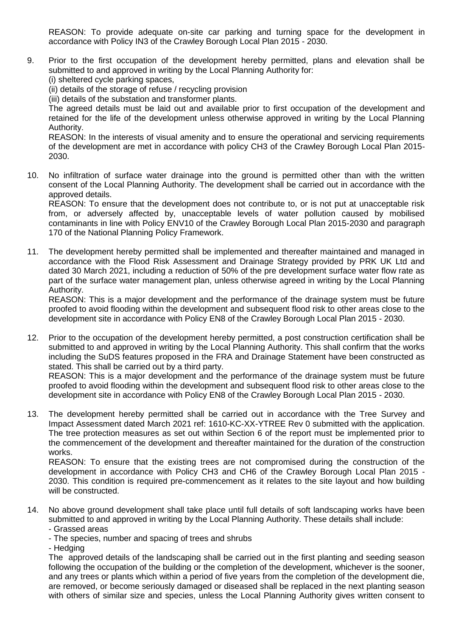REASON: To provide adequate on-site car parking and turning space for the development in accordance with Policy IN3 of the Crawley Borough Local Plan 2015 - 2030.

- 9. Prior to the first occupation of the development hereby permitted, plans and elevation shall be submitted to and approved in writing by the Local Planning Authority for:
	- (i) sheltered cycle parking spaces,
	- (ii) details of the storage of refuse / recycling provision
	- (iii) details of the substation and transformer plants.

The agreed details must be laid out and available prior to first occupation of the development and retained for the life of the development unless otherwise approved in writing by the Local Planning Authority.

REASON: In the interests of visual amenity and to ensure the operational and servicing requirements of the development are met in accordance with policy CH3 of the Crawley Borough Local Plan 2015- 2030.

10. No infiltration of surface water drainage into the ground is permitted other than with the written consent of the Local Planning Authority. The development shall be carried out in accordance with the approved details.

REASON: To ensure that the development does not contribute to, or is not put at unacceptable risk from, or adversely affected by, unacceptable levels of water pollution caused by mobilised contaminants in line with Policy ENV10 of the Crawley Borough Local Plan 2015-2030 and paragraph 170 of the National Planning Policy Framework.

11. The development hereby permitted shall be implemented and thereafter maintained and managed in accordance with the Flood Risk Assessment and Drainage Strategy provided by PRK UK Ltd and dated 30 March 2021, including a reduction of 50% of the pre development surface water flow rate as part of the surface water management plan, unless otherwise agreed in writing by the Local Planning Authority.

REASON: This is a major development and the performance of the drainage system must be future proofed to avoid flooding within the development and subsequent flood risk to other areas close to the development site in accordance with Policy EN8 of the Crawley Borough Local Plan 2015 - 2030.

12. Prior to the occupation of the development hereby permitted, a post construction certification shall be submitted to and approved in writing by the Local Planning Authority. This shall confirm that the works including the SuDS features proposed in the FRA and Drainage Statement have been constructed as stated. This shall be carried out by a third party.

REASON: This is a major development and the performance of the drainage system must be future proofed to avoid flooding within the development and subsequent flood risk to other areas close to the development site in accordance with Policy EN8 of the Crawley Borough Local Plan 2015 - 2030.

13. The development hereby permitted shall be carried out in accordance with the Tree Survey and Impact Assessment dated March 2021 ref: 1610-KC-XX-YTREE Rev 0 submitted with the application. The tree protection measures as set out within Section 6 of the report must be implemented prior to the commencement of the development and thereafter maintained for the duration of the construction works.

REASON: To ensure that the existing trees are not compromised during the construction of the development in accordance with Policy CH3 and CH6 of the Crawley Borough Local Plan 2015 - 2030. This condition is required pre-commencement as it relates to the site layout and how building will be constructed.

- 14. No above ground development shall take place until full details of soft landscaping works have been submitted to and approved in writing by the Local Planning Authority. These details shall include: - Grassed areas
	- The species, number and spacing of trees and shrubs

- Hedging

The approved details of the landscaping shall be carried out in the first planting and seeding season following the occupation of the building or the completion of the development, whichever is the sooner, and any trees or plants which within a period of five years from the completion of the development die, are removed, or become seriously damaged or diseased shall be replaced in the next planting season with others of similar size and species, unless the Local Planning Authority gives written consent to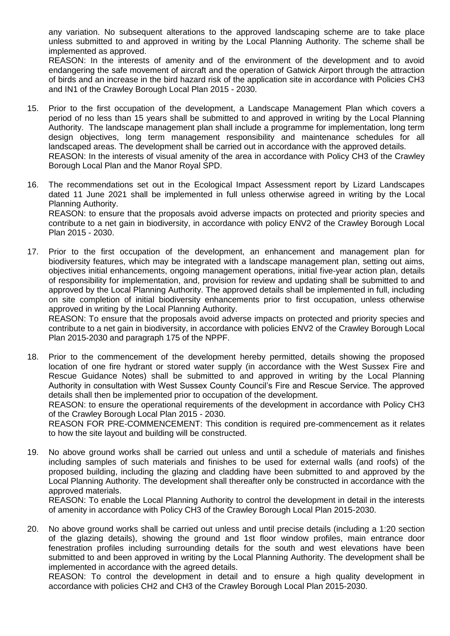any variation. No subsequent alterations to the approved landscaping scheme are to take place unless submitted to and approved in writing by the Local Planning Authority. The scheme shall be implemented as approved.

REASON: In the interests of amenity and of the environment of the development and to avoid endangering the safe movement of aircraft and the operation of Gatwick Airport through the attraction of birds and an increase in the bird hazard risk of the application site in accordance with Policies CH3 and IN1 of the Crawley Borough Local Plan 2015 - 2030.

- 15. Prior to the first occupation of the development, a Landscape Management Plan which covers a period of no less than 15 years shall be submitted to and approved in writing by the Local Planning Authority. The landscape management plan shall include a programme for implementation, long term design objectives, long term management responsibility and maintenance schedules for all landscaped areas. The development shall be carried out in accordance with the approved details. REASON: In the interests of visual amenity of the area in accordance with Policy CH3 of the Crawley Borough Local Plan and the Manor Royal SPD.
- 16. The recommendations set out in the Ecological Impact Assessment report by Lizard Landscapes dated 11 June 2021 shall be implemented in full unless otherwise agreed in writing by the Local Planning Authority. REASON: to ensure that the proposals avoid adverse impacts on protected and priority species and contribute to a net gain in biodiversity, in accordance with policy ENV2 of the Crawley Borough Local Plan 2015 - 2030.
- 17. Prior to the first occupation of the development, an enhancement and management plan for biodiversity features, which may be integrated with a landscape management plan, setting out aims, objectives initial enhancements, ongoing management operations, initial five-year action plan, details of responsibility for implementation, and, provision for review and updating shall be submitted to and approved by the Local Planning Authority. The approved details shall be implemented in full, including on site completion of initial biodiversity enhancements prior to first occupation, unless otherwise approved in writing by the Local Planning Authority.

REASON: To ensure that the proposals avoid adverse impacts on protected and priority species and contribute to a net gain in biodiversity, in accordance with policies ENV2 of the Crawley Borough Local Plan 2015-2030 and paragraph 175 of the NPPF.

18. Prior to the commencement of the development hereby permitted, details showing the proposed location of one fire hydrant or stored water supply (in accordance with the West Sussex Fire and Rescue Guidance Notes) shall be submitted to and approved in writing by the Local Planning Authority in consultation with West Sussex County Council's Fire and Rescue Service. The approved details shall then be implemented prior to occupation of the development.

REASON: to ensure the operational requirements of the development in accordance with Policy CH3 of the Crawley Borough Local Plan 2015 - 2030.

REASON FOR PRE-COMMENCEMENT: This condition is required pre-commencement as it relates to how the site layout and building will be constructed.

19. No above ground works shall be carried out unless and until a schedule of materials and finishes including samples of such materials and finishes to be used for external walls (and roofs) of the proposed building, including the glazing and cladding have been submitted to and approved by the Local Planning Authority. The development shall thereafter only be constructed in accordance with the approved materials.

REASON: To enable the Local Planning Authority to control the development in detail in the interests of amenity in accordance with Policy CH3 of the Crawley Borough Local Plan 2015-2030.

20. No above ground works shall be carried out unless and until precise details (including a 1:20 section of the glazing details), showing the ground and 1st floor window profiles, main entrance door fenestration profiles including surrounding details for the south and west elevations have been submitted to and been approved in writing by the Local Planning Authority. The development shall be implemented in accordance with the agreed details.

REASON: To control the development in detail and to ensure a high quality development in accordance with policies CH2 and CH3 of the Crawley Borough Local Plan 2015-2030.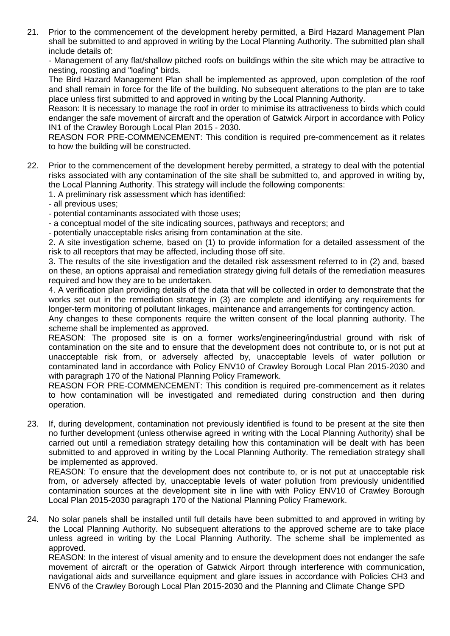21. Prior to the commencement of the development hereby permitted, a Bird Hazard Management Plan shall be submitted to and approved in writing by the Local Planning Authority. The submitted plan shall include details of:

- Management of any flat/shallow pitched roofs on buildings within the site which may be attractive to nesting, roosting and "loafing" birds.

The Bird Hazard Management Plan shall be implemented as approved, upon completion of the roof and shall remain in force for the life of the building. No subsequent alterations to the plan are to take place unless first submitted to and approved in writing by the Local Planning Authority.

Reason: It is necessary to manage the roof in order to minimise its attractiveness to birds which could endanger the safe movement of aircraft and the operation of Gatwick Airport in accordance with Policy IN1 of the Crawley Borough Local Plan 2015 - 2030.

REASON FOR PRE-COMMENCEMENT: This condition is required pre-commencement as it relates to how the building will be constructed.

22. Prior to the commencement of the development hereby permitted, a strategy to deal with the potential risks associated with any contamination of the site shall be submitted to, and approved in writing by, the Local Planning Authority. This strategy will include the following components:

1. A preliminary risk assessment which has identified:

- all previous uses;

- potential contaminants associated with those uses;
- a conceptual model of the site indicating sources, pathways and receptors; and

- potentially unacceptable risks arising from contamination at the site.

2. A site investigation scheme, based on (1) to provide information for a detailed assessment of the risk to all receptors that may be affected, including those off site.

3. The results of the site investigation and the detailed risk assessment referred to in (2) and, based on these, an options appraisal and remediation strategy giving full details of the remediation measures required and how they are to be undertaken.

4. A verification plan providing details of the data that will be collected in order to demonstrate that the works set out in the remediation strategy in (3) are complete and identifying any requirements for longer-term monitoring of pollutant linkages, maintenance and arrangements for contingency action.

Any changes to these components require the written consent of the local planning authority. The scheme shall be implemented as approved.

REASON: The proposed site is on a former works/engineering/industrial ground with risk of contamination on the site and to ensure that the development does not contribute to, or is not put at unacceptable risk from, or adversely affected by, unacceptable levels of water pollution or contaminated land in accordance with Policy ENV10 of Crawley Borough Local Plan 2015-2030 and with paragraph 170 of the National Planning Policy Framework.

REASON FOR PRE-COMMENCEMENT: This condition is required pre-commencement as it relates to how contamination will be investigated and remediated during construction and then during operation.

23. If, during development, contamination not previously identified is found to be present at the site then no further development (unless otherwise agreed in writing with the Local Planning Authority) shall be carried out until a remediation strategy detailing how this contamination will be dealt with has been submitted to and approved in writing by the Local Planning Authority. The remediation strategy shall be implemented as approved.

REASON: To ensure that the development does not contribute to, or is not put at unacceptable risk from, or adversely affected by, unacceptable levels of water pollution from previously unidentified contamination sources at the development site in line with with Policy ENV10 of Crawley Borough Local Plan 2015-2030 paragraph 170 of the National Planning Policy Framework.

24. No solar panels shall be installed until full details have been submitted to and approved in writing by the Local Planning Authority. No subsequent alterations to the approved scheme are to take place unless agreed in writing by the Local Planning Authority. The scheme shall be implemented as approved.

REASON: In the interest of visual amenity and to ensure the development does not endanger the safe movement of aircraft or the operation of Gatwick Airport through interference with communication, navigational aids and surveillance equipment and glare issues in accordance with Policies CH3 and ENV6 of the Crawley Borough Local Plan 2015-2030 and the Planning and Climate Change SPD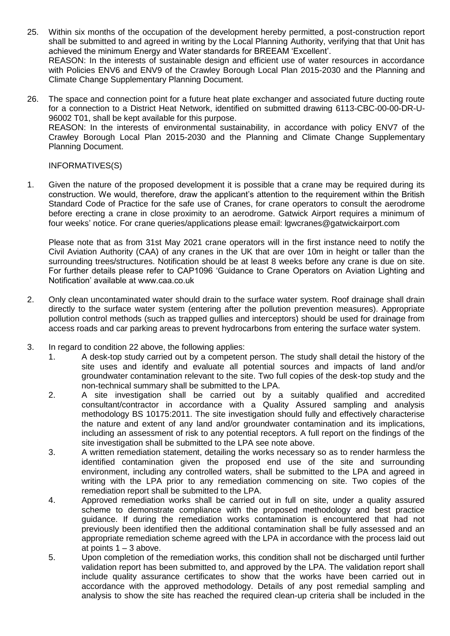- 25. Within six months of the occupation of the development hereby permitted, a post-construction report shall be submitted to and agreed in writing by the Local Planning Authority, verifying that that Unit has achieved the minimum Energy and Water standards for BREEAM 'Excellent'. REASON: In the interests of sustainable design and efficient use of water resources in accordance with Policies ENV6 and ENV9 of the Crawley Borough Local Plan 2015-2030 and the Planning and Climate Change Supplementary Planning Document.
- 26. The space and connection point for a future heat plate exchanger and associated future ducting route for a connection to a District Heat Network, identified on submitted drawing 6113-CBC-00-00-DR-U-96002 T01, shall be kept available for this purpose. REASON: In the interests of environmental sustainability, in accordance with policy ENV7 of the Crawley Borough Local Plan 2015-2030 and the Planning and Climate Change Supplementary Planning Document.

INFORMATIVES(S)

1. Given the nature of the proposed development it is possible that a crane may be required during its construction. We would, therefore, draw the applicant's attention to the requirement within the British Standard Code of Practice for the safe use of Cranes, for crane operators to consult the aerodrome before erecting a crane in close proximity to an aerodrome. Gatwick Airport requires a minimum of four weeks' notice. For crane queries/applications please email: lgwcranes@gatwickairport.com

Please note that as from 31st May 2021 crane operators will in the first instance need to notify the Civil Aviation Authority (CAA) of any cranes in the UK that are over 10m in height or taller than the surrounding trees/structures. Notification should be at least 8 weeks before any crane is due on site. For further details please refer to CAP1096 'Guidance to Crane Operators on Aviation Lighting and Notification' available at www.caa.co.uk

- 2. Only clean uncontaminated water should drain to the surface water system. Roof drainage shall drain directly to the surface water system (entering after the pollution prevention measures). Appropriate pollution control methods (such as trapped gullies and interceptors) should be used for drainage from access roads and car parking areas to prevent hydrocarbons from entering the surface water system.
- 3. In regard to condition 22 above, the following applies:
	- 1. A desk-top study carried out by a competent person. The study shall detail the history of the site uses and identify and evaluate all potential sources and impacts of land and/or groundwater contamination relevant to the site. Two full copies of the desk-top study and the non-technical summary shall be submitted to the LPA.
	- 2. A site investigation shall be carried out by a suitably qualified and accredited consultant/contractor in accordance with a Quality Assured sampling and analysis methodology BS 10175:2011. The site investigation should fully and effectively characterise the nature and extent of any land and/or groundwater contamination and its implications, including an assessment of risk to any potential receptors. A full report on the findings of the site investigation shall be submitted to the LPA see note above.
	- 3. A written remediation statement, detailing the works necessary so as to render harmless the identified contamination given the proposed end use of the site and surrounding environment, including any controlled waters, shall be submitted to the LPA and agreed in writing with the LPA prior to any remediation commencing on site. Two copies of the remediation report shall be submitted to the LPA.
	- 4. Approved remediation works shall be carried out in full on site, under a quality assured scheme to demonstrate compliance with the proposed methodology and best practice guidance. If during the remediation works contamination is encountered that had not previously been identified then the additional contamination shall be fully assessed and an appropriate remediation scheme agreed with the LPA in accordance with the process laid out at points  $1 - 3$  above.
	- 5. Upon completion of the remediation works, this condition shall not be discharged until further validation report has been submitted to, and approved by the LPA. The validation report shall include quality assurance certificates to show that the works have been carried out in accordance with the approved methodology. Details of any post remedial sampling and analysis to show the site has reached the required clean-up criteria shall be included in the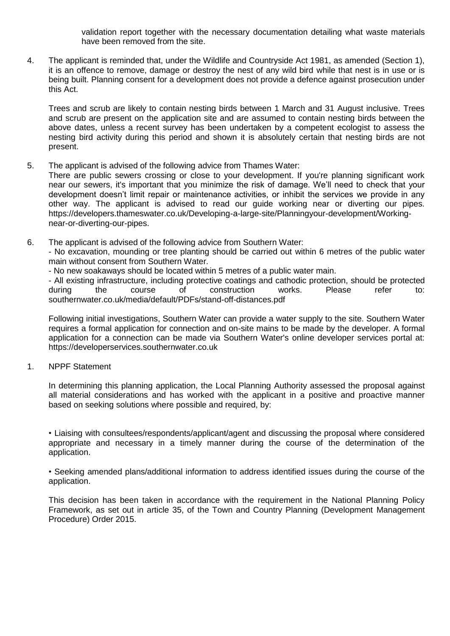validation report together with the necessary documentation detailing what waste materials have been removed from the site.

4. The applicant is reminded that, under the Wildlife and Countryside Act 1981, as amended (Section 1), it is an offence to remove, damage or destroy the nest of any wild bird while that nest is in use or is being built. Planning consent for a development does not provide a defence against prosecution under this Act.

Trees and scrub are likely to contain nesting birds between 1 March and 31 August inclusive. Trees and scrub are present on the application site and are assumed to contain nesting birds between the above dates, unless a recent survey has been undertaken by a competent ecologist to assess the nesting bird activity during this period and shown it is absolutely certain that nesting birds are not present.

5. The applicant is advised of the following advice from Thames Water:

There are public sewers crossing or close to your development. If you're planning significant work near our sewers, it's important that you minimize the risk of damage. We'll need to check that your development doesn't limit repair or maintenance activities, or inhibit the services we provide in any other way. The applicant is advised to read our guide working near or diverting our pipes. https://developers.thameswater.co.uk/Developing-a-large-site/Planningyour-development/Workingnear-or-diverting-our-pipes.

6. The applicant is advised of the following advice from Southern Water:

- No excavation, mounding or tree planting should be carried out within 6 metres of the public water main without consent from Southern Water.

- No new soakaways should be located within 5 metres of a public water main.

- All existing infrastructure, including protective coatings and cathodic protection, should be protected during the course of construction works. Please refer to: southernwater.co.uk/media/default/PDFs/stand-off-distances.pdf

Following initial investigations, Southern Water can provide a water supply to the site. Southern Water requires a formal application for connection and on-site mains to be made by the developer. A formal application for a connection can be made via Southern Water's online developer services portal at: https://developerservices.southernwater.co.uk

1. NPPF Statement

In determining this planning application, the Local Planning Authority assessed the proposal against all material considerations and has worked with the applicant in a positive and proactive manner based on seeking solutions where possible and required, by:

• Liaising with consultees/respondents/applicant/agent and discussing the proposal where considered appropriate and necessary in a timely manner during the course of the determination of the application.

• Seeking amended plans/additional information to address identified issues during the course of the application.

This decision has been taken in accordance with the requirement in the National Planning Policy Framework, as set out in article 35, of the Town and Country Planning (Development Management Procedure) Order 2015.